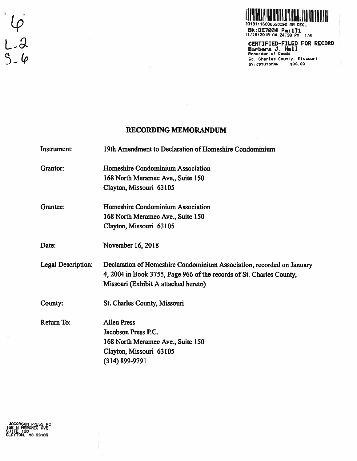

Bk:DE7004 Pg:171<br>11/16/2018 04:24:38 PM 1/6<br>CERTIFIED—FILED FOR RECORD<br>Barbara J. Hall Recorder or Oeeds St. Charles County, Missouri BY: JSTUTSMAN \$36.00

### RECORDING MEMORANDUM

Instrument: 19th Amendment to Declaration of Homeshire Condominium

Grantor: Homeshire Condominium Association 168 North Meramec Ave., Suite 150 Clayton, Missouri 63105

Grantee: Homeshire Condominium Association 168 North Meramec Ave., Suite 150 Clayton, Missouri 63105

Date: November 16, 2018

Legal Description: Declaration of Homeshire Condominium Association, recorded on January 4, 2004 in Book 3755, Page 966 of the records of St. Charles County, Missouri (Exhibit A attached hereto)

County: St. Charles County, Missouri

Return To: Allen Press Jacobson Press P.C. 168 North Meramec Ave., Suite 150 Clayton, Missouri 63105 (314) 899-9791

 $6 - 2$ <br>5-6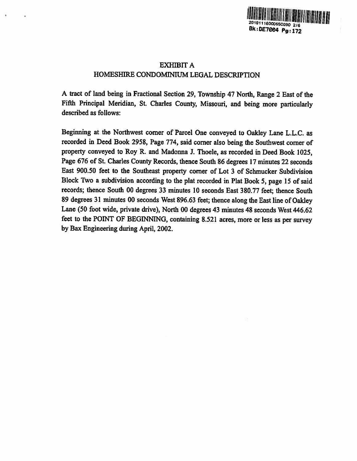

## EXHIBIT A HOMESHIRE CONDOMINIUM LEGAL DESCRIPTION

<sup>A</sup> tract of land being in Fractional Section 29, Township <sup>47</sup> North, Range <sup>2</sup> East of the Fifth Principal Meridian, St. Charles County, Missouri, and being more particularly described as follows:

Beginning at the Northwest corner of Parcel One conveyed to Oakley Lane L.LC. as recorded in Deed Book 2958, Page 774, said corner also being the Southwest corner of property conveyed to Roy R. and Madonna J. Thoele, as recorded in Deed Book 1025, Page <sup>676</sup> of St. Charles County Records, thence South <sup>86</sup> degrees <sup>17</sup> minutes <sup>22</sup> seconds East 900.50 feet to the Southeast property corner of Lot 3 of Schmucker Subdivision Block Two <sup>a</sup> subdivision according to the <sup>p</sup>lat recorded in Plat Book 5, page <sup>15</sup> of said records; thence South 00 degrees 33 minutes 10 seconds East 380.77 feet; thence South <sup>89</sup> degrees <sup>31</sup> minutes <sup>00</sup> seconds West 896.63 feet; thence along the East line of Oakley Lane (50 foot wide, private drive), North 00 degrees 43 minutes 48 seconds West 446.62 feet to the POINT OF BEGINNING, containing 8.521 acres, more or less as per survey by Bax Engineering during April, 2002.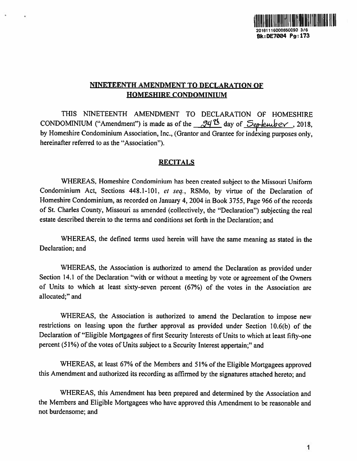

# NINETEENTH AMENDMENT TO DECLARATION OF HOMESHIRE CONDOMINIUM

THIS NINETEENTH AMENDMENT TO DECLARATION OF HOMESHIRE CONDOMINIUM ("Amendment") is made as of the  $\frac{24}{10}$  day of  $\frac{5}{e}$  explember, 2018, by Homeshire Condominium Association, Inc., (Grantor and Grantee for indexing purposes only, hereinafter referred to as the "Association").

## **RECITALS**

WHEREAS, Homeshire Condominium has been created subject to the Missouri Uniform Condominium Act, Sections 448.1-101, et seq., RSMo, by virtue of the Declaration of Homeshire Condominium, as recorded on January 4, <sup>2004</sup> in Book 3755, Page <sup>966</sup> of the records of St. Charles County, Missouri as amended (collectively, the "Declaration") subjecting the real estate described therein to the terms and conditions set forth in the Declaration; and

WHEREAS, the defined terms used herein will have the same meaning as stated in the Declaration; and

WHEREAS, the Association is authorized to amend the Declaration as provided under Section 14.1 of the Declaration "with or without <sup>a</sup> meeting by vote or agreemen<sup>t</sup> of the Owners of Units to which at least sixty-seven percen<sup>t</sup> (67%) of the votes in the Association are allocated;" and

WHEREAS, the Association is authorized to amend the Declaration to impose new restrictions on leasing upon the further approva<sup>l</sup> as provided under Section 10.6(b) of the Declaration of "Eligible Mortgagees of first Security Interests of Units to which at least fifty-one percen<sup>t</sup> (51%) of the votes of Units subject to <sup>a</sup> Security Interest appertain;" and

WHEREAS, at least 67% of the Members and 51% of the Eligible Mortgagees approved this Amendment and authorized its recording as affirmed by the signatures attached hereto; and

WHEREAS. this Amendment has been prepare<sup>d</sup> and determined by the Association and the Members and Eligible Mortgagees who have approved this Amendment to be reasonable and not burdensome; and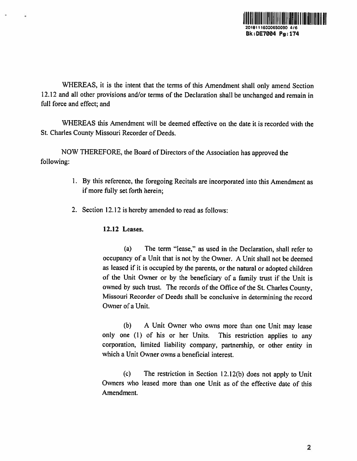

WHEREAS, it is the intent that the terms of this Amendment shall only amend Section 12.12 and all other provisions and/or terms of the Declaration shall be unchanged and remain in full force and effect; and

WHEREAS this Amendment will be deemed effective on the date it is recorded with the St. Charles County Missouri Recorder of Deeds.

NOW THEREFORE, the Board of Directors of the Association has approved the following:

- 1. By this reference, the foregoing Recitals are incorporated into this Amendment as if more filly set forth herein;
- 2. Section 12.12 is hereby amended to read as follows:

### 12.12 Leases.

(a) The term "lease," as used in the Declaration, shall refer to occupancy of <sup>a</sup> Unit that is not by the Owner. <sup>A</sup> Unit shall not be deemed as leased if it is occupied by the parents, or the natural or adopted children of the Unit Owner or by the beneficiary of <sup>a</sup> family trust if the Unit is owned by such trust. The records of the Office of the St. Charles County, Missouri Recorder of Deeds shall be conclusive in determining the record Owner of <sup>a</sup> Unit.

(b) <sup>A</sup> Unit Owner who owns more than one Unit may lease only one (1) of his or her Units. This restriction applies to any corporation, limited liability company, partnership, or other entity in which <sup>a</sup> Unit Owner owns <sup>a</sup> beneficial interest.

(c) The restriction in Section 12.12(b) does not apply to Unit Owners who leased more than one Unit as of the effective date of this Amendment.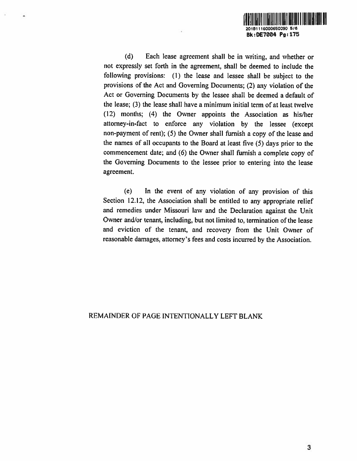

(d) Each Lease agreement shall be in writing, and whether or not expressly set forth in the agreement, shall be deemed to include the following provisions: (1) the lease and lessee shall be subject to the provisions of the Act and Governing Documents; (2) any violation of the Act or Governing Documents by die lessee shall be deemed <sup>a</sup> default of the lease; (3) the lease shall have <sup>a</sup> minimum initial term of at least twelve (12) months; (4) the Owner appoints the Association as his/her attorney-in-fact to enforce any violation by the lessee (except non-payment of rent); (5) the Owner shall furnish <sup>a</sup> copy of the lease and the names of all occupants to the Board at least five (5) days prior to the commencement date; and (6) the Owner shall furnish <sup>a</sup> complete copy of the Governing Documents to the lessee prior to entering into the lease agreement.

ń

(e) In the event of any violation of any provision of this Section 12.12, the Association shall be entitled to any appropriate relief and remedies under Missouri law and the Declaration against the Unit Owner and/or tenant, including, but not limited to, termination of the lease and eviction of the tenant, and recovery from the Unit Owner of reasonable damages, attorney's fees and costs incurred by the Association.

## REMAINDER OF PAGE INTENTIONALLY LEFT BLANK